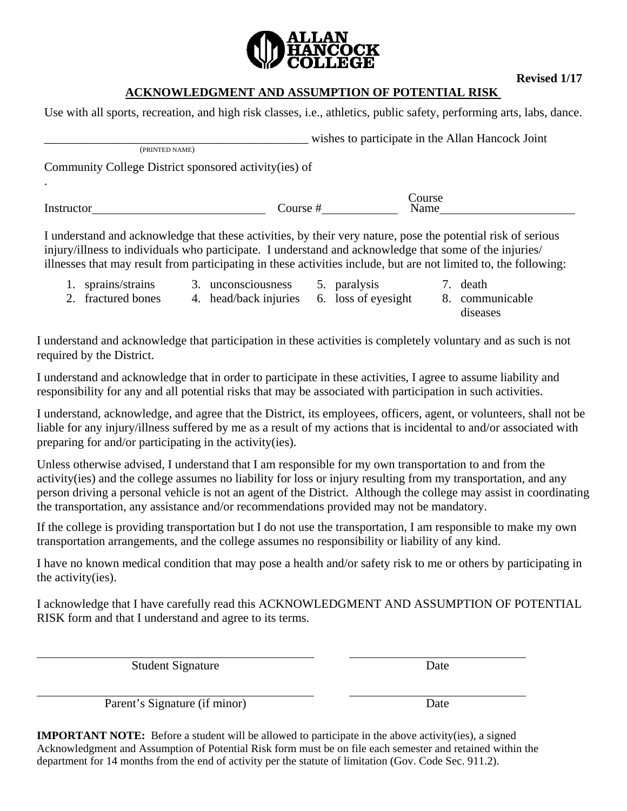

**Revised 1/17** 

## **ACKNOWLEDGMENT AND ASSUMPTION OF POTENTIAL RISK**

Use with all sports, recreation, and high risk classes, i.e., athletics, public safety, performing arts, labs, dance.

\_\_\_\_\_\_\_\_\_\_\_\_\_\_\_\_\_\_\_\_\_\_\_\_\_\_\_\_\_\_\_\_\_\_\_\_\_\_\_\_\_\_\_ wishes to participate in the Allan Hancock Joint (PRINTED NAME) Community College District sponsored activity(ies) of . **Course** 

Instructor Course # Name

I understand and acknowledge that these activities, by their very nature, pose the potential risk of serious injury/illness to individuals who participate. I understand and acknowledge that some of the injuries/ illnesses that may result from participating in these activities include, but are not limited to, the following:

- 1. sprains/strains
- 3. unconsciousness 5. paralysis
- 7. death
- 2. fractured bones 4. head/back injuries
- 6. loss of eyesight
- 8. communicable diseases

I understand and acknowledge that participation in these activities is completely voluntary and as such is not required by the District.

I understand and acknowledge that in order to participate in these activities, I agree to assume liability and responsibility for any and all potential risks that may be associated with participation in such activities.

I understand, acknowledge, and agree that the District, its employees, officers, agent, or volunteers, shall not be liable for any injury/illness suffered by me as a result of my actions that is incidental to and/or associated with preparing for and/or participating in the activity(ies).

Unless otherwise advised, I understand that I am responsible for my own transportation to and from the activity(ies) and the college assumes no liability for loss or injury resulting from my transportation, and any person driving a personal vehicle is not an agent of the District. Although the college may assist in coordinating the transportation, any assistance and/or recommendations provided may not be mandatory.

If the college is providing transportation but I do not use the transportation, I am responsible to make my own transportation arrangements, and the college assumes no responsibility or liability of any kind.

I have no known medical condition that may pose a health and/or safety risk to me or others by participating in the activity(ies).

I acknowledge that I have carefully read this ACKNOWLEDGMENT AND ASSUMPTION OF POTENTIAL RISK form and that I understand and agree to its terms.

Student Signature Date

Parent's Signature (if minor) Date

**IMPORTANT NOTE:** Before a student will be allowed to participate in the above activity(ies), a signed Acknowledgment and Assumption of Potential Risk form must be on file each semester and retained within the department for 14 months from the end of activity per the statute of limitation (Gov. Code Sec. 911.2).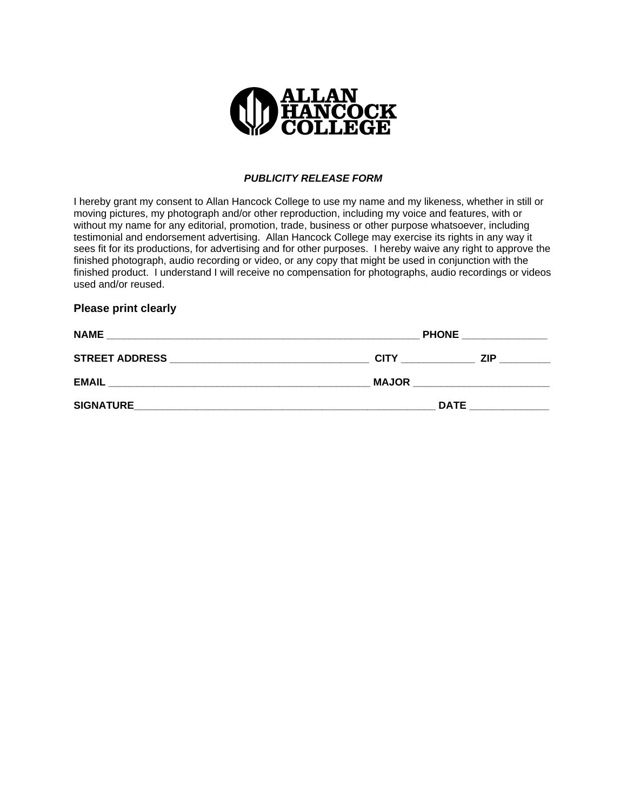

#### *PUBLICITY RELEASE FORM*

I hereby grant my consent to Allan Hancock College to use my name and my likeness, whether in still or moving pictures, my photograph and/or other reproduction, including my voice and features, with or without my name for any editorial, promotion, trade, business or other purpose whatsoever, including testimonial and endorsement advertising. Allan Hancock College may exercise its rights in any way it sees fit for its productions, for advertising and for other purposes. I hereby waive any right to approve the finished photograph, audio recording or video, or any copy that might be used in conjunction with the finished product. I understand I will receive no compensation for photographs, audio recordings or videos used and/or reused.

#### **Please print clearly**

| <b>NAME</b>           | <b>PHONE</b> |            |  |
|-----------------------|--------------|------------|--|
| <b>STREET ADDRESS</b> | <b>CITY</b>  | <b>ZIP</b> |  |
| <b>EMAIL</b>          | <b>MAJOR</b> |            |  |
| <b>SIGNATURE</b>      | <b>DATE</b>  |            |  |